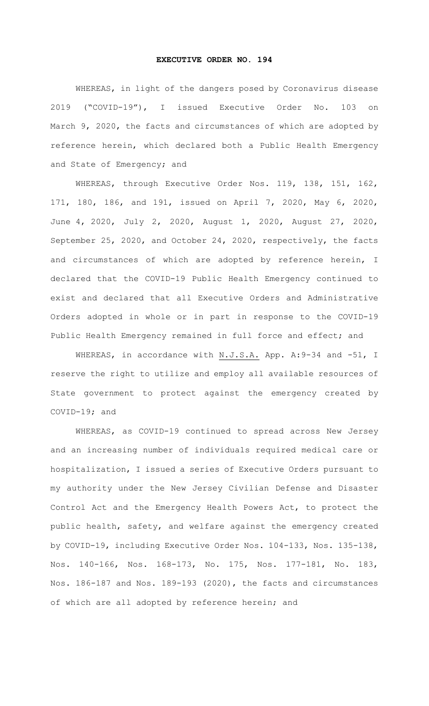## **EXECUTIVE ORDER NO. 194**

WHEREAS, in light of the dangers posed by Coronavirus disease 2019 ("COVID-19"), I issued Executive Order No. 103 on March 9, 2020, the facts and circumstances of which are adopted by reference herein, which declared both a Public Health Emergency and State of Emergency; and

WHEREAS, through Executive Order Nos. 119, 138, 151, 162, 171, 180, 186, and 191, issued on April 7, 2020, May 6, 2020, June 4, 2020, July 2, 2020, August 1, 2020, August 27, 2020, September 25, 2020, and October 24, 2020, respectively, the facts and circumstances of which are adopted by reference herein, I declared that the COVID-19 Public Health Emergency continued to exist and declared that all Executive Orders and Administrative Orders adopted in whole or in part in response to the COVID-19 Public Health Emergency remained in full force and effect; and

WHEREAS, in accordance with N.J.S.A. App. A: 9-34 and -51, I reserve the right to utilize and employ all available resources of State government to protect against the emergency created by COVID-19; and

WHEREAS, as COVID-19 continued to spread across New Jersey and an increasing number of individuals required medical care or hospitalization, I issued a series of Executive Orders pursuant to my authority under the New Jersey Civilian Defense and Disaster Control Act and the Emergency Health Powers Act, to protect the public health, safety, and welfare against the emergency created by COVID-19, including Executive Order Nos. 104-133, Nos. 135-138, Nos. 140-166, Nos. 168-173, No. 175, Nos. 177-181, No. 183, Nos. 186-187 and Nos. 189-193 (2020), the facts and circumstances of which are all adopted by reference herein; and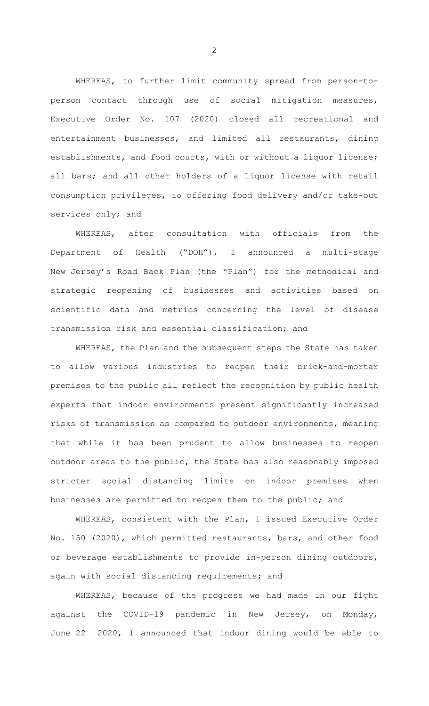WHEREAS, to further limit community spread from person-toperson contact through use of social mitigation measures, Executive Order No. 107 (2020) closed all recreational and entertainment businesses, and limited all restaurants, dining establishments, and food courts, with or without a liquor license; all bars; and all other holders of a liquor license with retail consumption privileges, to offering food delivery and/or take-out services only; and

WHEREAS, after consultation with officials from the Department of Health ("DOH"), I announced a multi-stage New Jersey's Road Back Plan (the "Plan") for the methodical and strategic reopening of businesses and activities based on scientific data and metrics concerning the level of disease transmission risk and essential classification; and

WHEREAS, the Plan and the subsequent steps the State has taken to allow various industries to reopen their brick-and-mortar premises to the public all reflect the recognition by public health experts that indoor environments present significantly increased risks of transmission as compared to outdoor environments, meaning that while it has been prudent to allow businesses to reopen outdoor areas to the public, the State has also reasonably imposed stricter social distancing limits on indoor premises when businesses are permitted to reopen them to the public; and

WHEREAS, consistent with the Plan, I issued Executive Order No. 150 (2020), which permitted restaurants, bars, and other food or beverage establishments to provide in-person dining outdoors, again with social distancing requirements; and

WHEREAS, because of the progress we had made in our fight against the COVID-19 pandemic in New Jersey, on Monday, June 22 2020, I announced that indoor dining would be able to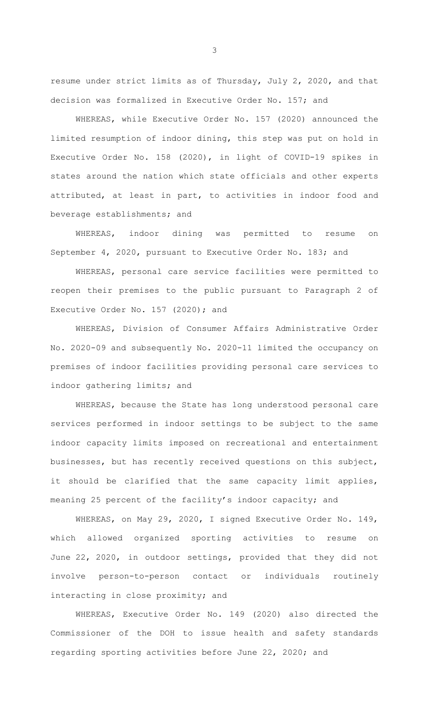resume under strict limits as of Thursday, July 2, 2020, and that decision was formalized in Executive Order No. 157; and

WHEREAS, while Executive Order No. 157 (2020) announced the limited resumption of indoor dining, this step was put on hold in Executive Order No. 158 (2020), in light of COVID-19 spikes in states around the nation which state officials and other experts attributed, at least in part, to activities in indoor food and beverage establishments; and

WHEREAS, indoor dining was permitted to resume on September 4, 2020, pursuant to Executive Order No. 183; and

WHEREAS, personal care service facilities were permitted to reopen their premises to the public pursuant to Paragraph 2 of Executive Order No. 157 (2020); and

WHEREAS, Division of Consumer Affairs Administrative Order No. 2020-09 and subsequently No. 2020-11 limited the occupancy on premises of indoor facilities providing personal care services to indoor gathering limits; and

WHEREAS, because the State has long understood personal care services performed in indoor settings to be subject to the same indoor capacity limits imposed on recreational and entertainment businesses, but has recently received questions on this subject, it should be clarified that the same capacity limit applies, meaning 25 percent of the facility's indoor capacity; and

WHEREAS, on May 29, 2020, I signed Executive Order No. 149, which allowed organized sporting activities to resume on June 22, 2020, in outdoor settings, provided that they did not involve person-to-person contact or individuals routinely interacting in close proximity; and

WHEREAS, Executive Order No. 149 (2020) also directed the Commissioner of the DOH to issue health and safety standards regarding sporting activities before June 22, 2020; and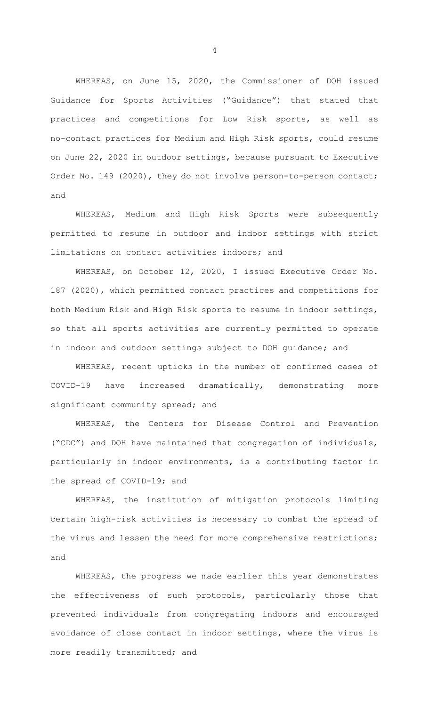WHEREAS, on June 15, 2020, the Commissioner of DOH issued Guidance for Sports Activities ("Guidance") that stated that practices and competitions for Low Risk sports, as well as no-contact practices for Medium and High Risk sports, could resume on June 22, 2020 in outdoor settings, because pursuant to Executive Order No. 149 (2020), they do not involve person-to-person contact; and

WHEREAS, Medium and High Risk Sports were subsequently permitted to resume in outdoor and indoor settings with strict limitations on contact activities indoors; and

WHEREAS, on October 12, 2020, I issued Executive Order No. 187 (2020), which permitted contact practices and competitions for both Medium Risk and High Risk sports to resume in indoor settings, so that all sports activities are currently permitted to operate in indoor and outdoor settings subject to DOH guidance; and

WHEREAS, recent upticks in the number of confirmed cases of COVID-19 have increased dramatically, demonstrating more significant community spread; and

WHEREAS, the Centers for Disease Control and Prevention ("CDC") and DOH have maintained that congregation of individuals, particularly in indoor environments, is a contributing factor in the spread of COVID-19; and

WHEREAS, the institution of mitigation protocols limiting certain high-risk activities is necessary to combat the spread of the virus and lessen the need for more comprehensive restrictions; and

WHEREAS, the progress we made earlier this year demonstrates the effectiveness of such protocols, particularly those that prevented individuals from congregating indoors and encouraged avoidance of close contact in indoor settings, where the virus is more readily transmitted; and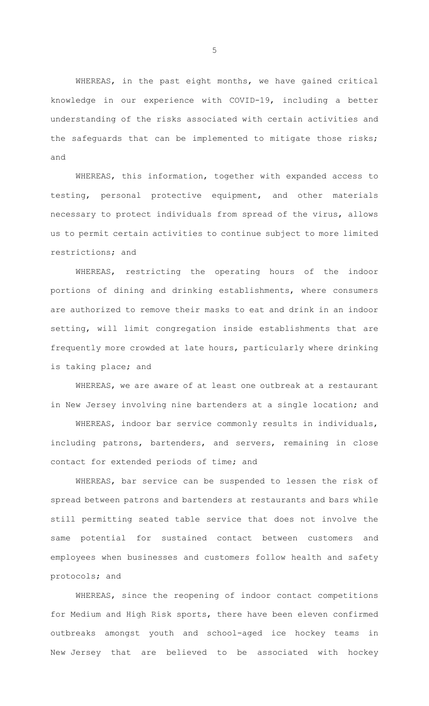WHEREAS, in the past eight months, we have gained critical knowledge in our experience with COVID-19, including a better understanding of the risks associated with certain activities and the safeguards that can be implemented to mitigate those risks; and

WHEREAS, this information, together with expanded access to testing, personal protective equipment, and other materials necessary to protect individuals from spread of the virus, allows us to permit certain activities to continue subject to more limited restrictions; and

WHEREAS, restricting the operating hours of the indoor portions of dining and drinking establishments, where consumers are authorized to remove their masks to eat and drink in an indoor setting, will limit congregation inside establishments that are frequently more crowded at late hours, particularly where drinking is taking place; and

WHEREAS, we are aware of at least one outbreak at a restaurant in New Jersey involving nine bartenders at a single location; and

WHEREAS, indoor bar service commonly results in individuals, including patrons, bartenders, and servers, remaining in close contact for extended periods of time; and

WHEREAS, bar service can be suspended to lessen the risk of spread between patrons and bartenders at restaurants and bars while still permitting seated table service that does not involve the same potential for sustained contact between customers and employees when businesses and customers follow health and safety protocols; and

WHEREAS, since the reopening of indoor contact competitions for Medium and High Risk sports, there have been eleven confirmed outbreaks amongst youth and school-aged ice hockey teams in New Jersey that are believed to be associated with hockey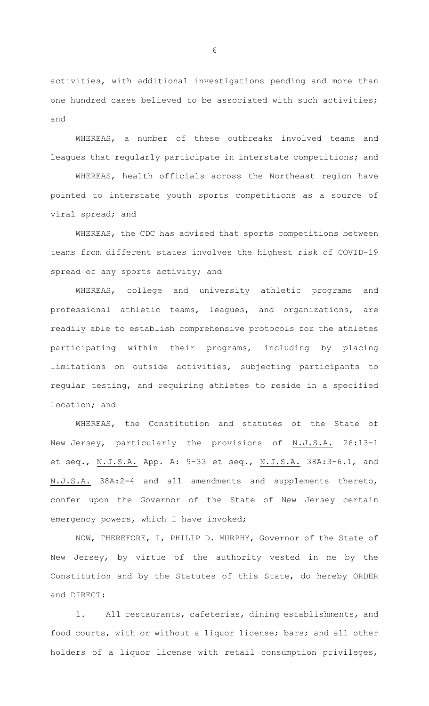activities, with additional investigations pending and more than one hundred cases believed to be associated with such activities; and

WHEREAS, a number of these outbreaks involved teams and leagues that regularly participate in interstate competitions; and

WHEREAS, health officials across the Northeast region have pointed to interstate youth sports competitions as a source of viral spread; and

WHEREAS, the CDC has advised that sports competitions between teams from different states involves the highest risk of COVID-19 spread of any sports activity; and

WHEREAS, college and university athletic programs and professional athletic teams, leagues, and organizations, are readily able to establish comprehensive protocols for the athletes participating within their programs, including by placing limitations on outside activities, subjecting participants to regular testing, and requiring athletes to reside in a specified location; and

WHEREAS, the Constitution and statutes of the State of New Jersey, particularly the provisions of N.J.S.A. 26:13-1 et seq., N.J.S.A. App. A: 9-33 et seq., N.J.S.A. 38A:3-6.1, and N.J.S.A. 38A:2-4 and all amendments and supplements thereto, confer upon the Governor of the State of New Jersey certain emergency powers, which I have invoked;

NOW, THEREFORE, I, PHILIP D. MURPHY, Governor of the State of New Jersey, by virtue of the authority vested in me by the Constitution and by the Statutes of this State, do hereby ORDER and DIRECT:

1. All restaurants, cafeterias, dining establishments, and food courts, with or without a liquor license; bars; and all other holders of a liquor license with retail consumption privileges,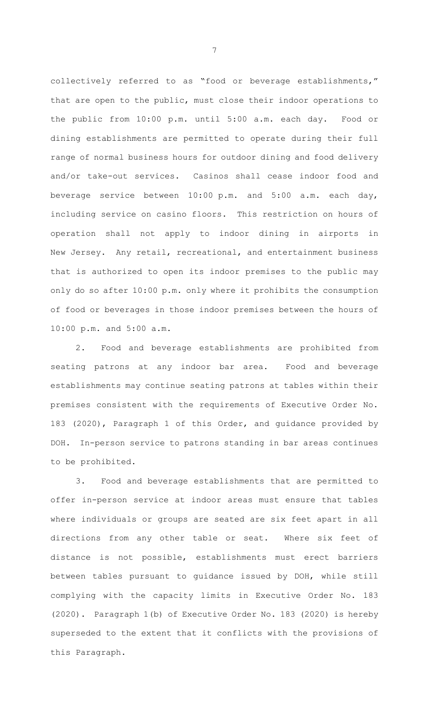collectively referred to as "food or beverage establishments," that are open to the public, must close their indoor operations to the public from 10:00 p.m. until 5:00 a.m. each day. Food or dining establishments are permitted to operate during their full range of normal business hours for outdoor dining and food delivery and/or take-out services. Casinos shall cease indoor food and beverage service between 10:00 p.m. and 5:00 a.m. each day, including service on casino floors. This restriction on hours of operation shall not apply to indoor dining in airports in New Jersey. Any retail, recreational, and entertainment business that is authorized to open its indoor premises to the public may only do so after 10:00 p.m. only where it prohibits the consumption of food or beverages in those indoor premises between the hours of 10:00 p.m. and 5:00 a.m.

2. Food and beverage establishments are prohibited from seating patrons at any indoor bar area. Food and beverage establishments may continue seating patrons at tables within their premises consistent with the requirements of Executive Order No. 183 (2020), Paragraph 1 of this Order, and guidance provided by DOH. In-person service to patrons standing in bar areas continues to be prohibited.

3. Food and beverage establishments that are permitted to offer in-person service at indoor areas must ensure that tables where individuals or groups are seated are six feet apart in all directions from any other table or seat. Where six feet of distance is not possible, establishments must erect barriers between tables pursuant to guidance issued by DOH, while still complying with the capacity limits in Executive Order No. 183 (2020). Paragraph 1(b) of Executive Order No. 183 (2020) is hereby superseded to the extent that it conflicts with the provisions of this Paragraph.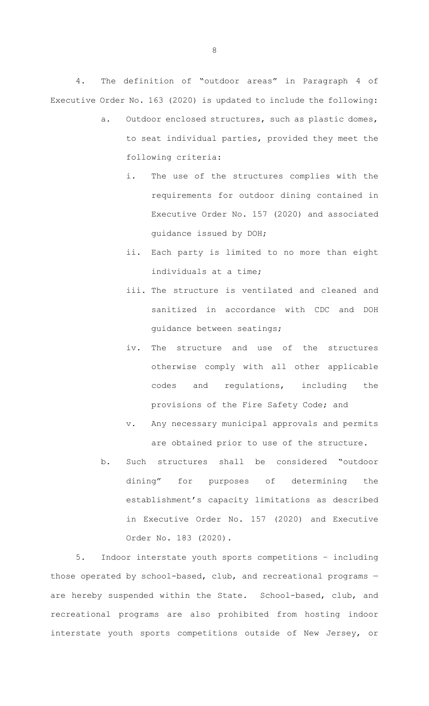4. The definition of "outdoor areas" in Paragraph 4 of Executive Order No. 163 (2020) is updated to include the following:

- a. Outdoor enclosed structures, such as plastic domes, to seat individual parties, provided they meet the following criteria:
	- i. The use of the structures complies with the requirements for outdoor dining contained in Executive Order No. 157 (2020) and associated guidance issued by DOH;
	- ii. Each party is limited to no more than eight individuals at a time;
	- iii. The structure is ventilated and cleaned and sanitized in accordance with CDC and DOH guidance between seatings;
	- iv. The structure and use of the structures otherwise comply with all other applicable codes and regulations, including the provisions of the Fire Safety Code; and
	- v. Any necessary municipal approvals and permits are obtained prior to use of the structure.
- b. Such structures shall be considered "outdoor dining" for purposes of determining the establishment's capacity limitations as described in Executive Order No. 157 (2020) and Executive Order No. 183 (2020).

5. Indoor interstate youth sports competitions – including those operated by school-based, club, and recreational programs are hereby suspended within the State. School-based, club, and recreational programs are also prohibited from hosting indoor interstate youth sports competitions outside of New Jersey, or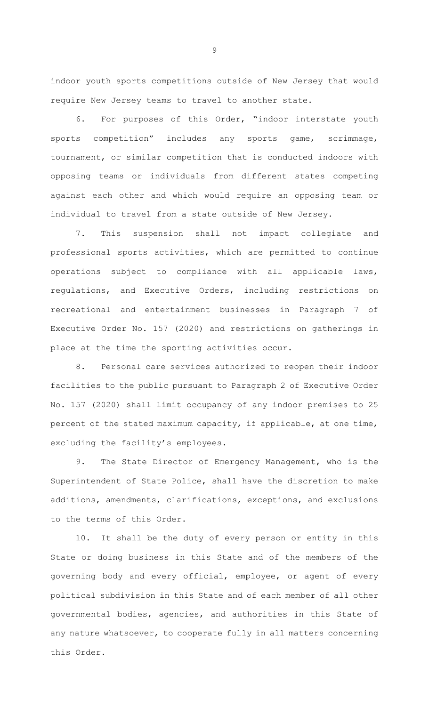indoor youth sports competitions outside of New Jersey that would require New Jersey teams to travel to another state.

6. For purposes of this Order, "indoor interstate youth sports competition" includes any sports game, scrimmage, tournament, or similar competition that is conducted indoors with opposing teams or individuals from different states competing against each other and which would require an opposing team or individual to travel from a state outside of New Jersey.

7. This suspension shall not impact collegiate and professional sports activities, which are permitted to continue operations subject to compliance with all applicable laws, regulations, and Executive Orders, including restrictions on recreational and entertainment businesses in Paragraph 7 of Executive Order No. 157 (2020) and restrictions on gatherings in place at the time the sporting activities occur.

8. Personal care services authorized to reopen their indoor facilities to the public pursuant to Paragraph 2 of Executive Order No. 157 (2020) shall limit occupancy of any indoor premises to 25 percent of the stated maximum capacity, if applicable, at one time, excluding the facility's employees.

9. The State Director of Emergency Management, who is the Superintendent of State Police, shall have the discretion to make additions, amendments, clarifications, exceptions, and exclusions to the terms of this Order.

10. It shall be the duty of every person or entity in this State or doing business in this State and of the members of the governing body and every official, employee, or agent of every political subdivision in this State and of each member of all other governmental bodies, agencies, and authorities in this State of any nature whatsoever, to cooperate fully in all matters concerning this Order.